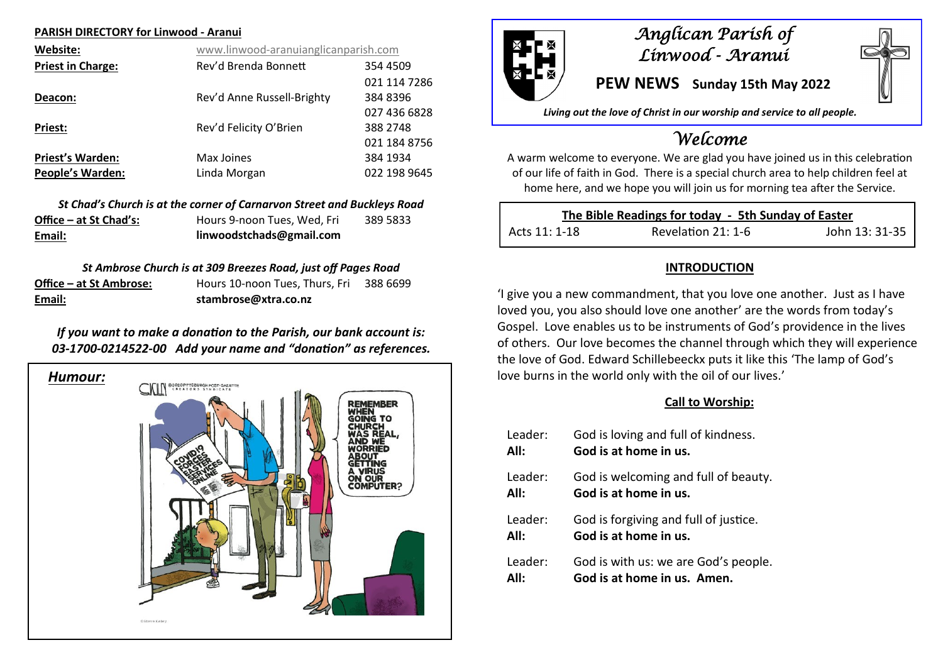#### **PARISH DIRECTORY for Linwood - Aranui**

| Website:                 | www.linwood-aranuianglicanparish.com |              |
|--------------------------|--------------------------------------|--------------|
| <b>Priest in Charge:</b> | Rev'd Brenda Bonnett                 | 354 4509     |
|                          |                                      | 021 114 7286 |
| Deacon:                  | Rev'd Anne Russell-Brighty           | 384 8396     |
|                          |                                      | 027 436 6828 |
| Priest:                  | Rev'd Felicity O'Brien               | 388 2748     |
|                          |                                      | 021 184 8756 |
| <b>Priest's Warden:</b>  | Max Joines                           | 384 1934     |
| <b>People's Warden:</b>  | Linda Morgan                         | 022 198 9645 |

|                        | St Chad's Church is at the corner of Carnarvon Street and Buckleys Road |          |
|------------------------|-------------------------------------------------------------------------|----------|
| Office – at St Chad's: | Hours 9-noon Tues. Wed. Fri                                             | 389 5833 |
| Email:                 | linwoodstchads@gmail.com                                                |          |

### *St Ambrose Church is at 309 Breezes Road, just off Pages Road*

| Email:                  | stambrose@xtra.co.nz           |          |
|-------------------------|--------------------------------|----------|
| Office – at St Ambrose: | Hours 10-noon Tues, Thurs, Fri | 388 6699 |

## *If you want to make a donation to the Parish, our bank account is: 03-1700-0214522-00 Add your name and "donation" as references.*





## *Anglican Parish of Linwood - Aranui*

**PEW NEWS Sunday 15th May 2022**

*Living out the love of Christ in our worship and service to all people.*

# *Welcome*

A warm welcome to everyone. We are glad you have joined us in this celebration of our life of faith in God. There is a special church area to help children feel at home here, and we hope you will join us for morning tea after the Service.

| The Bible Readings for today - 5th Sunday of Easter |                    |                |
|-----------------------------------------------------|--------------------|----------------|
| Acts 11: 1-18                                       | Revelation 21: 1-6 | John 13: 31-35 |

## **INTRODUCTION**

'I give you a new commandment, that you love one another. Just as I have loved you, you also should love one another' are the words from today's Gospel. Love enables us to be instruments of God's providence in the lives of others. Our love becomes the channel through which they will experience the love of God. Edward Schillebeeckx puts it like this 'The lamp of God's love burns in the world only with the oil of our lives.'

### **Call to Worship:**

| Leader: | God is loving and full of kindness.   |
|---------|---------------------------------------|
| All:    | God is at home in us.                 |
| Leader: | God is welcoming and full of beauty.  |
| All:    | God is at home in us.                 |
| Leader: | God is forgiving and full of justice. |
| All:    | God is at home in us.                 |
|         |                                       |